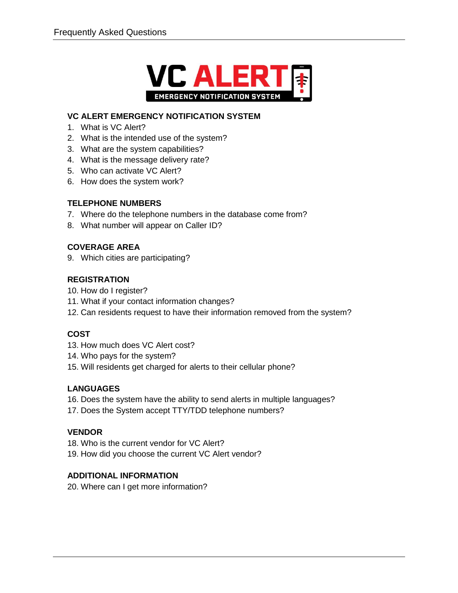

#### **VC ALERT EMERGENCY NOTIFICATION SYSTEM**

- 1. What is VC Alert?
- 2. What is the intended use of the system?
- 3. What are the system capabilities?
- 4. What is the message delivery rate?
- 5. Who can activate VC Alert?
- 6. How does the system work?

#### **TELEPHONE NUMBERS**

- 7. Where do the telephone numbers in the database come from?
- 8. What number will appear on Caller ID?

#### **COVERAGE AREA**

9. Which cities are participating?

#### **REGISTRATION**

- 10. How do I register?
- 11. What if your contact information changes?
- 12. Can residents request to have their information removed from the system?

#### **COST**

- 13. How much does VC Alert cost?
- 14. Who pays for the system?
- 15. Will residents get charged for alerts to their cellular phone?

#### **LANGUAGES**

- 16. Does the system have the ability to send alerts in multiple languages?
- 17. Does the System accept TTY/TDD telephone numbers?

#### **VENDOR**

- 18. Who is the current vendor for VC Alert?
- 19. How did you choose the current VC Alert vendor?

#### **ADDITIONAL INFORMATION**

20. Where can I get more information?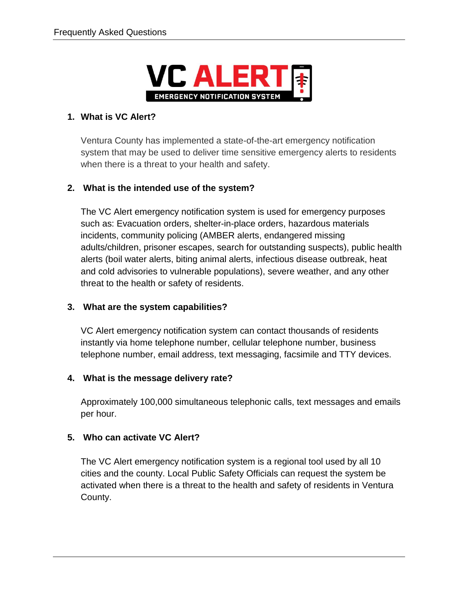

## **1. What is VC Alert?**

Ventura County has implemented a state-of-the-art emergency notification system that may be used to deliver time sensitive emergency alerts to residents when there is a threat to your health and safety.

## **2. What is the intended use of the system?**

The VC Alert emergency notification system is used for emergency purposes such as: Evacuation orders, shelter-in-place orders, hazardous materials incidents, community policing (AMBER alerts, endangered missing adults/children, prisoner escapes, search for outstanding suspects), public health alerts (boil water alerts, biting animal alerts, infectious disease outbreak, heat and cold advisories to vulnerable populations), severe weather, and any other threat to the health or safety of residents.

## **3. What are the system capabilities?**

VC Alert emergency notification system can contact thousands of residents instantly via home telephone number, cellular telephone number, business telephone number, email address, text messaging, facsimile and TTY devices.

## **4. What is the message delivery rate?**

Approximately 100,000 simultaneous telephonic calls, text messages and emails per hour.

## **5. Who can activate VC Alert?**

The VC Alert emergency notification system is a regional tool used by all 10 cities and the county. Local Public Safety Officials can request the system be activated when there is a threat to the health and safety of residents in Ventura County.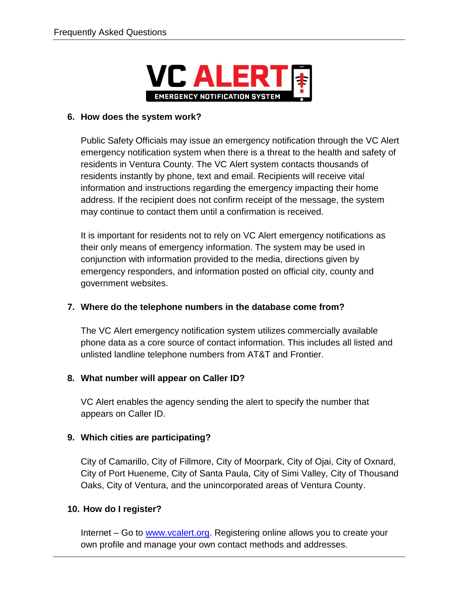

#### **6. How does the system work?**

Public Safety Officials may issue an emergency notification through the VC Alert emergency notification system when there is a threat to the health and safety of residents in Ventura County. The VC Alert system contacts thousands of residents instantly by phone, text and email. Recipients will receive vital information and instructions regarding the emergency impacting their home address. If the recipient does not confirm receipt of the message, the system may continue to contact them until a confirmation is received.

It is important for residents not to rely on VC Alert emergency notifications as their only means of emergency information. The system may be used in conjunction with information provided to the media, directions given by emergency responders, and information posted on official city, county and government websites.

## **7. Where do the telephone numbers in the database come from?**

The VC Alert emergency notification system utilizes commercially available phone data as a core source of contact information. This includes all listed and unlisted landline telephone numbers from AT&T and Frontier.

## **8. What number will appear on Caller ID?**

VC Alert enables the agency sending the alert to specify the number that appears on Caller ID.

## **9. Which cities are participating?**

City of Camarillo, City of Fillmore, City of Moorpark, City of Ojai, City of Oxnard, City of Port Hueneme, City of Santa Paula, City of Simi Valley, City of Thousand Oaks, City of Ventura, and the unincorporated areas of Ventura County.

## **10. How do I register?**

Internet – Go to [www.vcalert.org.](http://www.vcalert.org/) Registering online allows you to create your own profile and manage your own contact methods and addresses.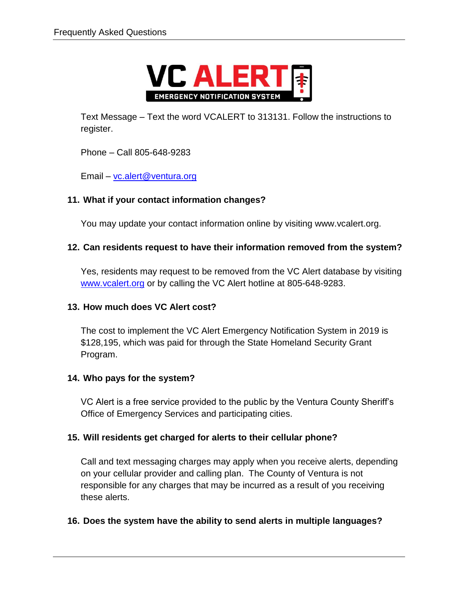

Text Message – Text the word VCALERT to 313131. Follow the instructions to register.

Phone – Call 805-648-9283

Email – [vc.alert@ventura.org](mailto:vc.alert@ventura.org)

## **11. What if your contact information changes?**

You may update your contact information online by visiting www.vcalert.org.

## **12. Can residents request to have their information removed from the system?**

Yes, residents may request to be removed from the VC Alert database by visiting [www.vcalert.org](http://www.vcalert.org/) or by calling the VC Alert hotline at 805-648-9283.

## **13. How much does VC Alert cost?**

The cost to implement the VC Alert Emergency Notification System in 2019 is \$128,195, which was paid for through the State Homeland Security Grant Program.

## **14. Who pays for the system?**

VC Alert is a free service provided to the public by the Ventura County Sheriff's Office of Emergency Services and participating cities.

# **15. Will residents get charged for alerts to their cellular phone?**

Call and text messaging charges may apply when you receive alerts, depending on your cellular provider and calling plan. The County of Ventura is not responsible for any charges that may be incurred as a result of you receiving these alerts.

## **16. Does the system have the ability to send alerts in multiple languages?**